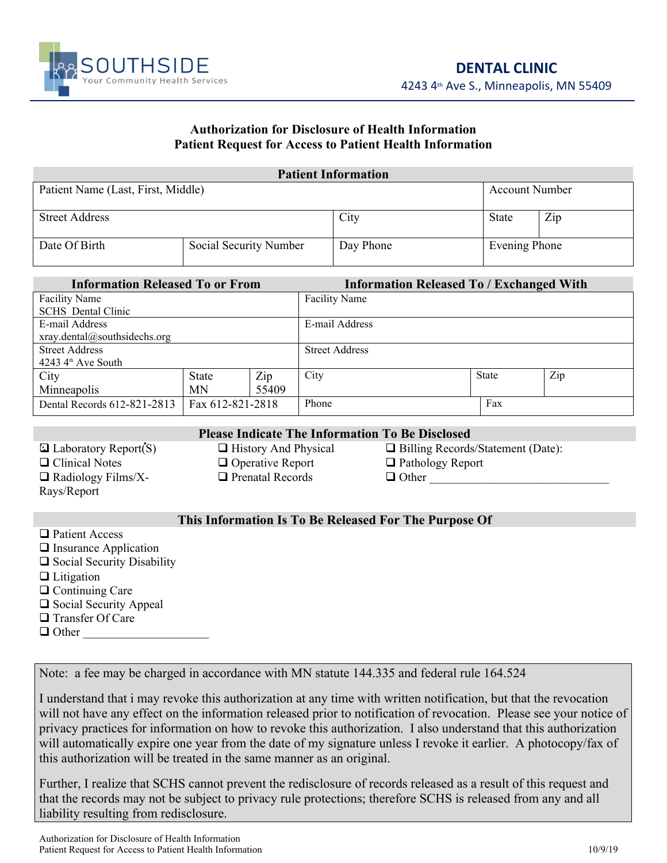

4243 4th Ave S., Minneapolis, MN 55409

## **Authorization for Disclosure of Health Information Patient Request for Access to Patient Health Information**

|                                    |                        | <b>Patient Information</b> |                       |     |
|------------------------------------|------------------------|----------------------------|-----------------------|-----|
| Patient Name (Last, First, Middle) |                        |                            | <b>Account Number</b> |     |
|                                    |                        |                            |                       |     |
| <b>Street Address</b>              |                        | City                       | <b>State</b>          | Zip |
|                                    |                        |                            |                       |     |
| Date Of Birth                      | Social Security Number | Day Phone                  | Evening Phone         |     |
|                                    |                        |                            |                       |     |

| <b>Information Released To or From</b> |                  |       | <b>Information Released To / Exchanged With</b> |  |              |     |  |
|----------------------------------------|------------------|-------|-------------------------------------------------|--|--------------|-----|--|
| <b>Facility Name</b>                   |                  |       | <b>Facility Name</b>                            |  |              |     |  |
| <b>SCHS</b> Dental Clinic              |                  |       |                                                 |  |              |     |  |
| E-mail Address                         |                  |       | E-mail Address                                  |  |              |     |  |
| xray.dental@southsidechs.org           |                  |       |                                                 |  |              |     |  |
| <b>Street Address</b>                  |                  |       | <b>Street Address</b>                           |  |              |     |  |
| $4243$ 4 <sup>th</sup> Ave South       |                  |       |                                                 |  |              |     |  |
| City                                   | <b>State</b>     | Zip   | City                                            |  | <b>State</b> | Zip |  |
| Minneapolis                            | MN               | 55409 |                                                 |  |              |     |  |
| Dental Records 612-821-2813            | Fax 612-821-2818 |       | Phone                                           |  | Fax          |     |  |
|                                        |                  |       |                                                 |  |              |     |  |

 $\Box$  Radiology Films/X-Rays/Report

**Please Indicate The Information To Be Disclosed** □ Clinical Notes □ Operative Report □ Pathology Report

 $\Box$  Laboratory Report(S)  $\Box$  History And Physical  $\Box$  Billing Records/Statement (Date):

 $\Box$  Prenatal Records  $\Box$  Other

## **This Information Is To Be Released For The Purpose Of**

**□ Patient Access**  $\Box$  Insurance Application  $\Box$  Social Security Disability  $\Box$  Litigation □ Continuing Care  $\Box$  Social Security Appeal □ Transfer Of Care  $\Box$  Other

Note: a fee may be charged in accordance with MN statute 144.335 and federal rule 164.524

I understand that i may revoke this authorization at any time with written notification, but that the revocation will not have any effect on the information released prior to notification of revocation. Please see your notice of privacy practices for information on how to revoke this authorization. I also understand that this authorization will automatically expire one year from the date of my signature unless I revoke it earlier. A photocopy/fax of this authorization will be treated in the same manner as an original.

Further, I realize that SCHS cannot prevent the redisclosure of records released as a result of this request and that the records may not be subject to privacy rule protections; therefore SCHS is released from any and all liability resulting from redisclosure.